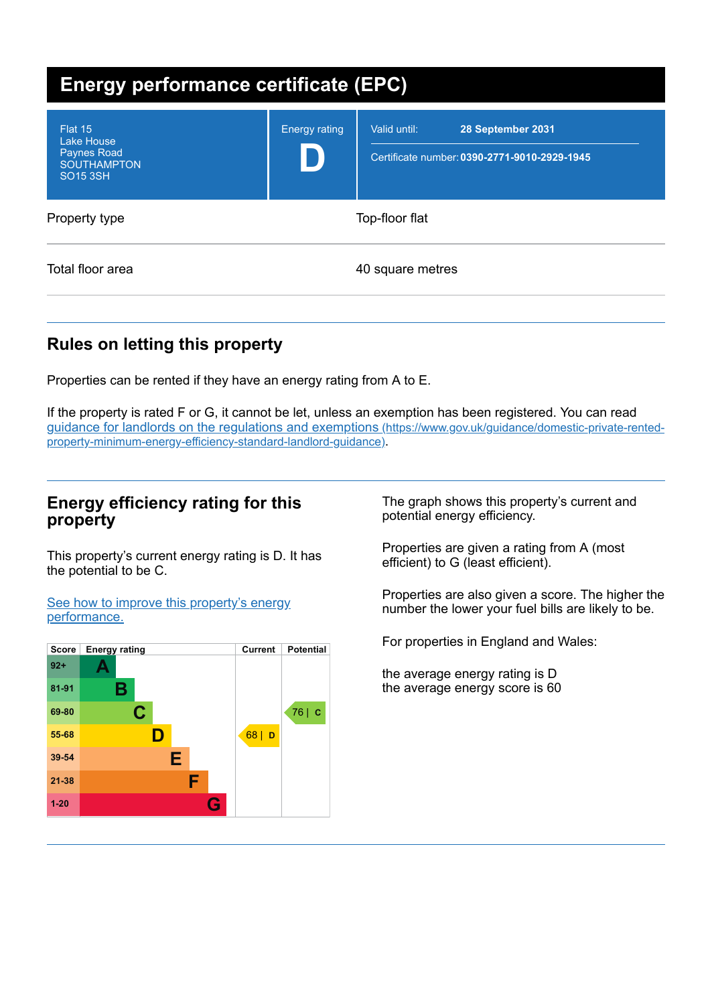| Energy performance certificate (EPC)                                                 |                      |                                                                                   |
|--------------------------------------------------------------------------------------|----------------------|-----------------------------------------------------------------------------------|
| Flat 15<br>Lake House<br><b>Paynes Road</b><br><b>SOUTHAMPTON</b><br><b>SO15 3SH</b> | <b>Energy rating</b> | Valid until:<br>28 September 2031<br>Certificate number: 0390-2771-9010-2929-1945 |
| Property type                                                                        |                      | Top-floor flat                                                                    |
| Total floor area                                                                     |                      | 40 square metres                                                                  |

# **Rules on letting this property**

Properties can be rented if they have an energy rating from A to E.

If the property is rated F or G, it cannot be let, unless an exemption has been registered. You can read guidance for landlords on the regulations and exemptions (https://www.gov.uk/guidance/domestic-private-rented[property-minimum-energy-efficiency-standard-landlord-guidance\)](https://www.gov.uk/guidance/domestic-private-rented-property-minimum-energy-efficiency-standard-landlord-guidance).

### **Energy efficiency rating for this property**

This property's current energy rating is D. It has the potential to be C.

See how to improve this property's energy [performance.](#page-2-0)



The graph shows this property's current and potential energy efficiency.

Properties are given a rating from A (most efficient) to G (least efficient).

Properties are also given a score. The higher the number the lower your fuel bills are likely to be.

For properties in England and Wales:

the average energy rating is D the average energy score is 60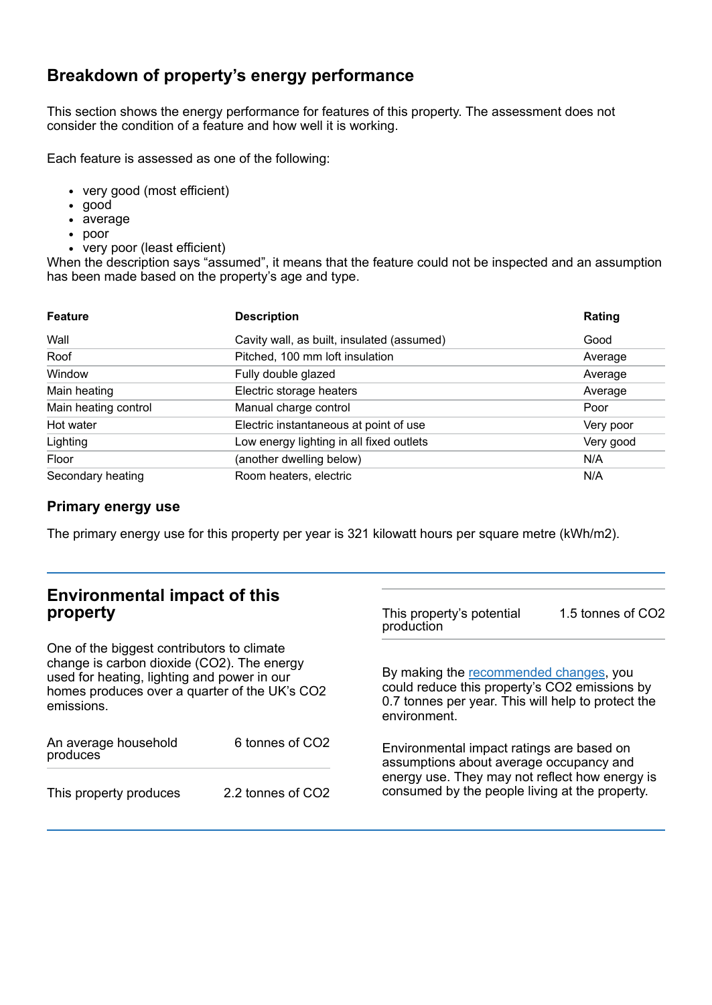## **Breakdown of property's energy performance**

This section shows the energy performance for features of this property. The assessment does not consider the condition of a feature and how well it is working.

Each feature is assessed as one of the following:

- very good (most efficient)
- good
- average
- poor
- very poor (least efficient)

When the description says "assumed", it means that the feature could not be inspected and an assumption has been made based on the property's age and type.

| <b>Feature</b>       | <b>Description</b>                         | Rating    |
|----------------------|--------------------------------------------|-----------|
| Wall                 | Cavity wall, as built, insulated (assumed) | Good      |
| Roof                 | Pitched, 100 mm loft insulation            | Average   |
| Window               | Fully double glazed                        | Average   |
| Main heating         | Electric storage heaters                   | Average   |
| Main heating control | Manual charge control                      | Poor      |
| Hot water            | Electric instantaneous at point of use     | Very poor |
| Lighting             | Low energy lighting in all fixed outlets   | Very good |
| Floor                | (another dwelling below)                   | N/A       |
| Secondary heating    | Room heaters, electric                     | N/A       |

#### **Primary energy use**

The primary energy use for this property per year is 321 kilowatt hours per square metre (kWh/m2).

| <b>Environmental impact of this</b><br>property                                                                                                                                                        |                             | This property's potential<br>production                                                                                                                       | 1.5 tonnes of CO2 |
|--------------------------------------------------------------------------------------------------------------------------------------------------------------------------------------------------------|-----------------------------|---------------------------------------------------------------------------------------------------------------------------------------------------------------|-------------------|
| One of the biggest contributors to climate<br>change is carbon dioxide (CO2). The energy<br>used for heating, lighting and power in our<br>homes produces over a quarter of the UK's CO2<br>emissions. |                             | By making the recommended changes, you<br>could reduce this property's CO2 emissions by<br>0.7 tonnes per year. This will help to protect the<br>environment. |                   |
| An average household<br>produces                                                                                                                                                                       | 6 tonnes of CO <sub>2</sub> | Environmental impact ratings are based on<br>assumptions about average occupancy and                                                                          |                   |
| This property produces                                                                                                                                                                                 | 2.2 tonnes of CO2           | energy use. They may not reflect how energy is<br>consumed by the people living at the property.                                                              |                   |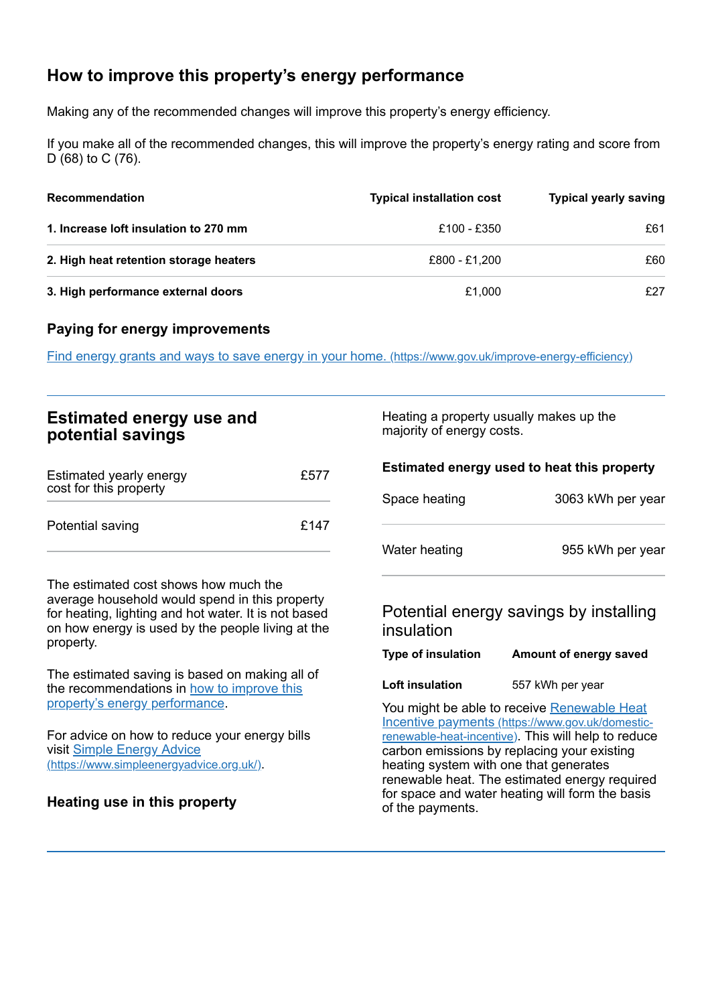# <span id="page-2-0"></span>**How to improve this property's energy performance**

Making any of the recommended changes will improve this property's energy efficiency.

If you make all of the recommended changes, this will improve the property's energy rating and score from D (68) to C (76).

| Recommendation                         | <b>Typical installation cost</b> | <b>Typical yearly saving</b> |
|----------------------------------------|----------------------------------|------------------------------|
| 1. Increase loft insulation to 270 mm  | £100 - £350                      | £61                          |
| 2. High heat retention storage heaters | £800 - £1,200                    | £60                          |
| 3. High performance external doors     | £1,000                           | £27                          |

#### **Paying for energy improvements**

Find energy grants and ways to save energy in your home. [\(https://www.gov.uk/improve-energy-efficiency\)](https://www.gov.uk/improve-energy-efficiency)

| <b>Estimated energy use and</b> |  |
|---------------------------------|--|
| potential savings               |  |

| Estimated yearly energy<br>cost for this property | £577 |
|---------------------------------------------------|------|
| Potential saving                                  | £147 |

The estimated cost shows how much the average household would spend in this property for heating, lighting and hot water. It is not based on how energy is used by the people living at the property.

The estimated saving is based on making all of the [recommendations](#page-2-0) in how to improve this property's energy performance.

For advice on how to reduce your energy bills visit Simple Energy Advice [\(https://www.simpleenergyadvice.org.uk/\)](https://www.simpleenergyadvice.org.uk/).

**Heating use in this property**

Heating a property usually makes up the majority of energy costs.

| Estimated energy used to heat this property |                                                                                                                                                        |
|---------------------------------------------|--------------------------------------------------------------------------------------------------------------------------------------------------------|
| Space heating                               | 3063 kWh per year                                                                                                                                      |
| Water heating                               | 955 kWh per year                                                                                                                                       |
| insulation                                  | Potential energy savings by installing                                                                                                                 |
| Type of insulation                          | Amount of energy saved                                                                                                                                 |
| Loft insulation                             | 557 kWh per year                                                                                                                                       |
|                                             | You might be able to receive Renewable Heat<br>Incentive payments (https://www.gov.uk/domestic-<br>renewable-heat-incentive). This will help to reduce |

heating system with one that generates renewable heat. The estimated energy required for space and water heating will form the basis of the payments.